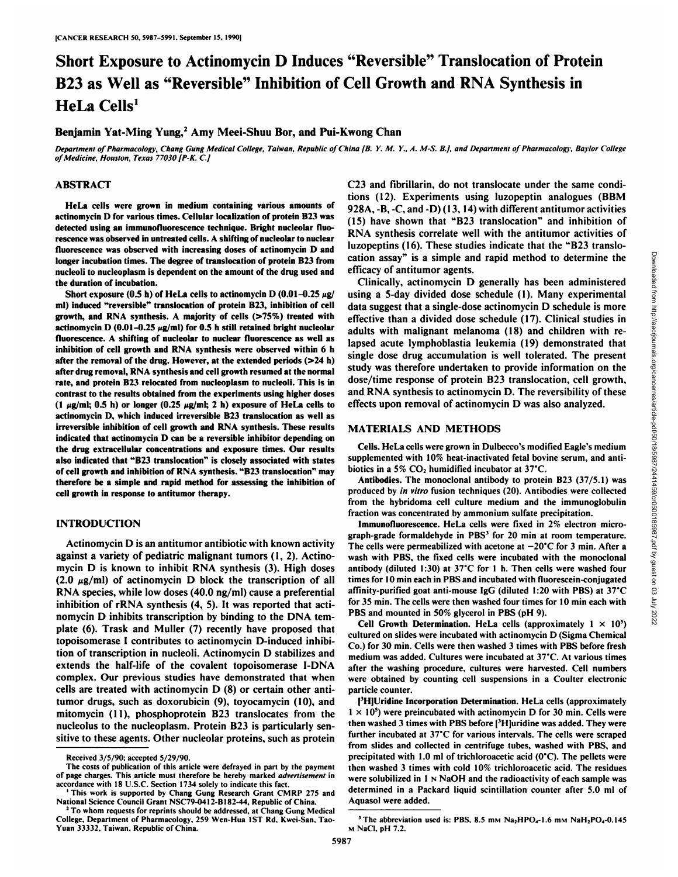# Short Exposure to Actinomycin D Induces "Reversible" Translocation of Protein B23 as Well as "Reversible" Inhibition of Cell Growth and RNA Synthesis in HeLa Cells<sup>1</sup>

Benjamin Yat-Ming Yung,<sup>2</sup> Amy Meei-Shuu Bor, and Pui-Kwong Chan

Department of Pharmacology, Chang Gung Medical College, Taiwan, Republic of China [B. Y. M. Y., A. M-S. B.], and Department of Pharmacology, Baylor College<br>of Medicine, Houston, Texas 77030 [P-K. C.]

#### **ABSTRACT**

**HeLa cells were grown in medium containing various amounts of actinomycin D for various times. Cellular localization ofprotein B23 was detected using an immunofluorescence technique. Bright nucleolar fluo rescence was observed in untreated cells. A shifting of nucleolar to nuclear fluorescence was observed with increasing doses of actinomycin I) and longer incubation times. The degree of translocation of protein B23 from nucleoli to nucleoplasm is dependent on the amount of the drug used and the duration of incubation.**

Short **exposure** (0.5 **h**) of HeLa cells to actinomycin D (0.01-0.25  $\mu$ g/ **ml) induced "reversible" translocation of protein B23, inhibition ofcell growth, and RNA synthesis. A majority of cells (>75%) treated with actinomycin D**  $(0.01-0.25 \mu g/ml)$  for 0.5 **h** still retained bright nucleolar **fluorescence. A shifting of nucleolar to nuclear fluorescence as well as inhibition ofcell growth and RNA synthesis were observed within 6 h after the removal of the drug. However, at the extended periods (>24 h) after drug removal, RNA synthesis and cell growth resumed at the normal rate, and protein B23 relocated from nucleoplasm to nucleoli. This is in contrast to the results obtained from the experiments using higher doses**  $(1 \mu g/ml; 0.5 \text{ h})$  or longer  $(0.25 \mu g/ml; 2 \text{ h})$  exposure of HeLa cells to **actinomycin D, which induced irreversible B23 translocation as well as irreversible** inhibition of cell growth and RNA synthesis. These results **indicated that actinomycin D can be a reversible inhibitor depending on the drug extracellular concentrations and exposure times. Our results also indicated that "B23 translocation" is closely associated with states of cell growth and inhibition ofRNA synthesis. "B23 translocation" may therefore be a simple and rapid method for assessing the inhibition of cell growth in response to antitumor therapy.**

## **INTRODUCTION**

Actinomycin D is an antitumor antibiotic with known activity against a variety of pediatrie malignant tumors (1, 2). Actino mycin D is known to inhibit RNA synthesis (3). High doses  $(2.0 \mu g/ml)$  of actinomycin D block the transcription of all RNA species, while low doses  $(40.0 \text{ ng/ml})$  cause a preferential inhibition of rRNA synthesis  $(4, 5)$ . It was reported that acti-<br>nominal in the cells were then washed four times in<br> $\frac{PBS}{R}$  and mounted in 50% glycerol in PBS (pH 9). nomycin D inhibits transcription by binding to the DNA tem plate (6). Trask and Muller (7) recently have proposed that topoisomerase I contributes to actinomycin D-induced inhibi tion of transcription in nucleoli. Actinomycin D stabilizes and extends the half-life of the covalent topoisomerase I-DNA complex. Our previous studies have demonstrated that when cells are treated with actinomycin D (8) or certain other antitumor drugs, such as doxorubicin (9), toyocamycin (10), and mitomycin (II), phosphoprotein B23 translocates from the nucleolus to the nucleoplasm. Protein B23 is particularly sen sitive to these agents. Other nucleolar proteins, such as protein

The costs of publication of this article were defrayed in part by the payment of page charges. This article must therefore be hereby marked advertisement in accordance with 18 U.S.C. Section 1734 solely to indicate this fact.

C23 and fibrillarin, do not translocate under the same conditions (12). Experiments using luzopeptin analogues (BBM 928A, -B, -C. and -D) (13.14) with different antitumor activities (15) have shown that "B23 translocation" and inhibition of RNA synthesis correlate well with the antitumor activities of luzopeptins (16). These studies indicate that the "B23 translo efficacy of antitumor agents.

cation assay" is a simple and rapid method to determine the<br>efficacy of antitumor agents.<br>Clinically, actionomycin Denerally has been administered<br>using a 5-day divided dose schedule (1). Many experimental<br>data suggest th Clinically, actinomycin D generally has been administered using a 5-day divided dose schedule (1). Many experimental data suggest that a single-dose actinomycin D schedule is more effective than a divided dose schedule (17). Clinical studies in adults with malignant melanoma (18) and children with re lapsed acute lymphoblastia leukemia (19) demonstrated that single dose drug accumulation is well tolerated. The present study was therefore undertaken to provide information on the dose/time response of protein B23 translocation, cell growth, and RNA synthesis to actinomycin D.The reversibility of these effects upon removal of actinomycin D was also analyzed.

#### **MATERIALS AND METHODS**

Cells. HeLa cells were grown in Dulbccco's modified Eagle's medium supplemented with 10% heat-inactivated fetal bovine serum, and antibiotics in a 5%  $CO<sub>2</sub>$  humidified incubator at 37°C.

Antibodies. The monoclonal antibody to protein B23 (37/5.1) was produced by in vitro fusion techniques (20). Antibodies were collected from the hybridoma cell culture medium and the immunoglobulin fraction was concentrated by ammonium sulfate precipitation.<br>Immunofluorescence. HeLa cells were fixed in 2% electron micro-

graph-grade formaldehyde in PBS<sup>3</sup> for 20 min at room temperature. The cells were permeabilized with acetone at  $-20^{\circ}$ C for 3 min. After a wash with PBS. the fixed cells were incubated with the monoclonal antibody (diluted 1:30) at  $37^{\circ}$ C for 1 h. Then cells were washed four times for 10 min each in PBS and incubated with fluorescein-conjugated affinity-purified goat anti-mouse IgG (diluted 1:20 with PBS) at 37°C for 35 min. The cells were then washed four times for 10 min each with

Cell Growth Determination. HeLa cells (approximately  $1 \times 10^5$ ). cultured on slides were incubated with actinomycin D (Sigma Chemical Co.) for 30 min. Cells were then washed 3 times with PBS before fresh medium was added. Cultures were incubated at 37°C.At various times after the washing procedure, cultures were harvested. Cell numbers were obtained by counting cell suspensions in a Coulter electronic particle counter.

[<sup>3</sup>H]Uridine Incorporation Determination. HeLa cells (approximately  $1 \times 10^5$ ) were preincubated with actinomycin D for 30 min. Cells were then washed 3 times with PBS before [<sup>3</sup>H]uridine was added. They were further incubated at  $37^{\circ}$ C for various intervals. The cells were scraped from slides and collected in centrifuge tubes, washed with PBS. and precipitated with 1.0 ml of trichloroacetic acid  $(0^{\circ}C)$ . The pellets were then washed 3 times with cold 10% trichloroacetic acid. The residues were solubilized in  $1 \text{ N } \text{AOH}$  and the radioactivity of each sample was determined in a Packard liquid scintillation counter after 5.0 ml of Aquasol were added.

Received 3/5/90; accepted 5/29/90.

<sup>&</sup>lt;sup>1</sup> This work is supported by Chang Gung Research Grant CMRP 275 and National Science Council Grant NSC79-0412-B182-44. Republic of China. *2To whom requests for reprints should be addressed, at Chang Gung Medical*

College, Department of Pharmacology, 259 Wen-Hua 1ST Rd, Kwei-San, Tao-Yuan 33332, Taiwan, Republic of China.

<sup>&</sup>lt;sup>3</sup> The abbreviation used is: PBS, 8.5 mm  $Na<sub>2</sub>HPO<sub>4</sub>-1.6$  mm  $NaH<sub>2</sub>PO<sub>4</sub>-0.145$ M NaCI. pH 7.2.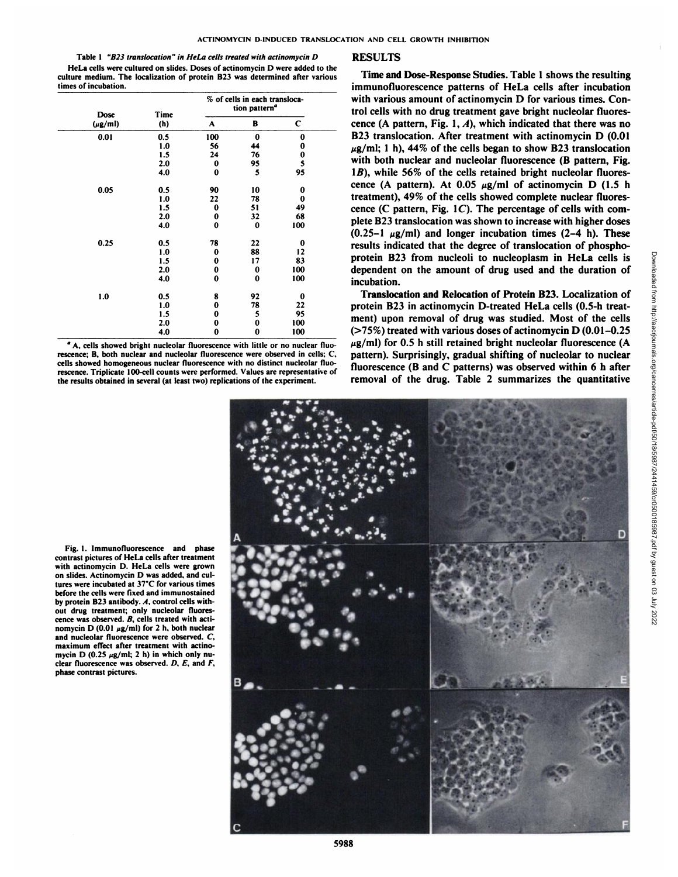Table 1 "B23 translocation" in HeLa cells treated with actinomycin D HeLa cells were cultured on slides. Doses of actinomycin D were added to the culture medium. The localization of protein B23 was determined after various times of incubation.

| Dose         | Time |          | % of cells in each transloca-<br>tion pattern <sup>a</sup> |              |  |
|--------------|------|----------|------------------------------------------------------------|--------------|--|
| $(\mu$ g/ml) | (h)  | A        | в                                                          | $\mathbf{C}$ |  |
| 0.01         | 0.5  | 100      | $\bf{0}$                                                   | 0            |  |
|              | 1.0  | 56       | 44                                                         | 0            |  |
|              | 1.5  | 24       | 76                                                         | $\bf{0}$     |  |
|              | 2.0  | 0        | 95                                                         | 5            |  |
|              | 4.0  | $\bf{0}$ | 5                                                          | 95           |  |
| 0.05         | 0.5  | 90       | 10                                                         | 0            |  |
|              | 1.0  | 22       | 78                                                         | 0            |  |
|              | 1.5  | $\bf{0}$ | 51                                                         | 49           |  |
|              | 2.0  | $\bf{0}$ | 32                                                         | 68           |  |
|              | 4.0  | $\bf{0}$ | $\bf{0}$                                                   | 100          |  |
| 0.25         | 0.5  | 78       | 22                                                         | 0            |  |
|              | 1.0  | $\bf{0}$ | 88                                                         | 12           |  |
|              | 1.5  | 0        | 17                                                         | 83           |  |
|              | 2.0  | $\bf{0}$ | 0                                                          | 100          |  |
|              | 4.0  | $\bf{0}$ | 0                                                          | 100          |  |
| 1.0          | 0.5  | 8        | 92                                                         | 0            |  |
|              | 1.0  | $\bf{0}$ | 78                                                         | 22           |  |
|              | 1.5  | 0        | 5                                                          | 95           |  |
|              | 2.0  | 0        | 0                                                          | 100          |  |
|              | 4.0  | 0        | 0                                                          | 100          |  |

*°A. cells showed bright nucleolar fluorescence with little or no nuclear fluo* rescence; B. both nuclear and nucleolar fluorescence were observed in cells; C. cells showed homogeneous nuclear fluorescence with no distinct nucleolar fluo rescence. Triplicate 100-cell counts were performed. Values are representative of the results obtained in several (at least two) replications of the experiment.

### RESULTS

(h)  $A$  B C cence (A pattern, Fig. 1, A), which indicated that there was no trol cells with various amount of actinomycin B for various times. Contained triangular triangular fluores-<br>triangular fluores-Time and Dose-Response Studies. Table 1 shows the resulting immunofluorescence patterns of HeLa cells after incubation with various amount of actinomycin D for various times. Con B23 translocation. After treatment with actinomycin D (0.01  $\mu$ g/ml; 1 h), 44% of the cells began to show B23 translocation with both nuclear and nucleolar fluorescence (B pattern, Fig.  $1B$ ), while 56% of the cells retained bright nucleolar fluorescence (A pattern). At  $0.05 \mu g/ml$  of actinomycin D (1.5 h treatment), 49% of the cells showed complete nuclear fluorescence (C pattern, Fig.  $1C$ ). The percentage of cells with complete B23 translocation was shown to increase with higher doses  $(0.25-1 \mu g/ml)$  and longer incubation times  $(2-4 h)$ . These results indicated that the degree of translocation of phosphodependent on the amount of drug used and the duration of incubation.

> Translocation and Relocation of Protein B23. Localization of protein B23 in actinomycin D-treated HeLa cells (0.5-h treat ment) upon removal of drug was studied. Most of the cells  $($ >75%) treated with various doses of actinomycin D $(0.01-0.25)$  $\mu$ g/ml) for 0.5 h still retained bright nucleolar fluorescence (A pattern). Surprisingly, gradual shifting of nucleolar to nuclear fluorescence (B and C patterns) was observed within 6 h after removal of the drug. Table 2 summarizes the quantitative

Fig. I. Immunofluorescence and phase contrast pictures of HeLa cells after treatment with actinomycin D. HeLa cells were grown on slides. Actinomycin D was added, and cul tures were incubated at 37°C for various times before the cells were fixed and immunostained by protein B23 antibody. A, control cells with out drug treatment; only nucleolar fluores cence was observed. B, cells treated with acti nomycin D (0.01  $\mu$ g/ml) for 2 h, both nuclear and nucleolar fluorescence were observed. C, maximum effect after treatment with actino mycin D (0.25  $\mu$ g/ml; 2 h) in which only nuclear fluorescence was observed.  $D$ ,  $E$ , and  $F$ , phase contrast pictures.

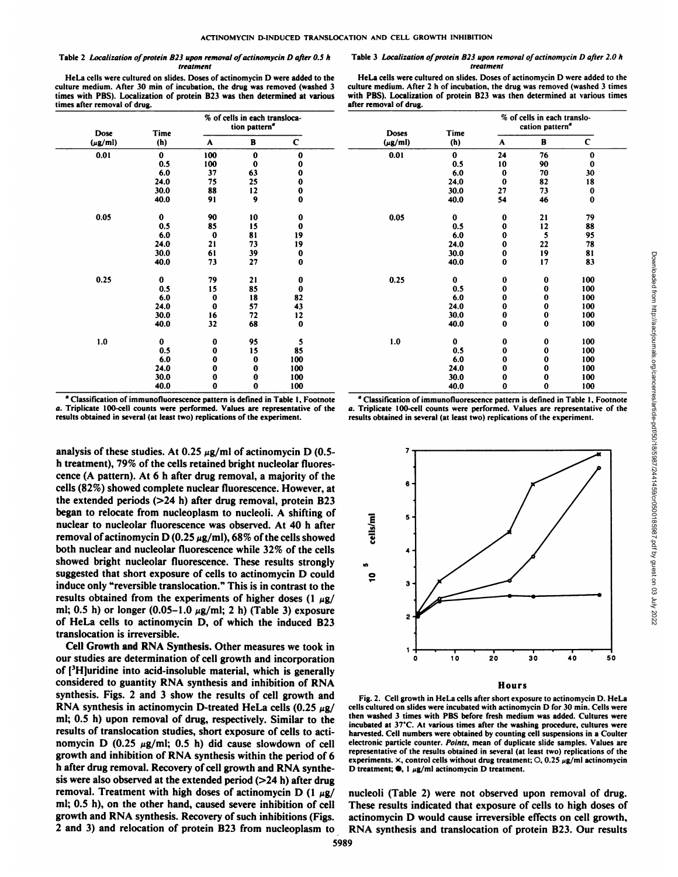after removal of drug.

#### Table 2 Localization of protein B23 upon removal of actinomycin D after 0.5 h *treatment*

HeLa cells were cultured on slides. Doses of actinomycin D were added to the culture medium. After 30 min of incubation, the drug was removed (washed 3 times with PBS). Localization of protein B23 was then determined at various times after removal of drug.

| Dose         | Time     |             | % of cells in each transloca-<br>tion pattern <sup>a</sup> |             | <b>Doses</b> | Time        |
|--------------|----------|-------------|------------------------------------------------------------|-------------|--------------|-------------|
| $(\mu$ g/ml) | (h)      | A           | В                                                          | C           | $(\mu$ g/ml) | (h)         |
| 0.01         | $\bf{0}$ | 100         | $\bf{0}$                                                   | $\bf{0}$    | 0.01         | $\bf{0}$    |
|              | 0.5      | 100         | 0                                                          | $\bf{0}$    |              | 0.5         |
|              | 6.0      | 37          | 63                                                         | $\bf{0}$    |              | 6.0         |
|              | 24.0     | 75          | 25                                                         | $\bf{0}$    |              | 24.0        |
|              | 30.0     | 88          | 12                                                         | $\bf{0}$    |              | 30.0        |
|              | 40.0     | 91          | 9                                                          | $\bf{0}$    |              | 40.0        |
| 0.05         | $\bf{0}$ | 90          | 10                                                         | 0           | 0.05         | $\mathbf 0$ |
|              | 0.5      | 85          | 15                                                         | $\bf{0}$    |              | 0.5         |
|              | 6.0      | $\mathbf 0$ | 81                                                         | 19          |              | 6.0         |
|              | 24.0     | 21          | 73                                                         | 19          |              | 24.0        |
|              | 30.0     | 61          | 39                                                         | $\bf{0}$    |              | 30.0        |
|              | 40.0     | 73          | 27                                                         | $\bf{0}$    |              | 40.0        |
| 0.25         | $\bf{0}$ | 79          | 21                                                         | 0           | 0.25         | 0           |
|              | 0.5      | 15          | 85                                                         | $\bf{0}$    |              | 0.5         |
|              | 6.0      | 0           | 18                                                         | 82          |              | 6.0         |
|              | 24.0     | $\bf{0}$    | 57                                                         | 43          |              | 24.0        |
|              | 30.0     | 16          | 72                                                         | 12          |              | 30.0        |
|              | 40.0     | 32          | 68                                                         | $\mathbf 0$ |              | 40.0        |
| 1.0          | 0        | 0           | 95                                                         | 5           | 1.0          | $\bf{0}$    |
|              | 0.5      | $\bf{0}$    | 15                                                         | 85          |              | 0.5         |
|              | 6.0      | $\bf{0}$    | $\bf{0}$                                                   | 100         |              | 6.0         |
|              | 24.0     | $\pmb{0}$   | 0                                                          | 100         |              | 24.0        |
|              | 30.0     | $\bf{0}$    | 0                                                          | 100         |              | 30.0        |
|              | 40.0     | $\Omega$    | $\bf{0}$                                                   | 100         |              | 40.0        |

|             |                                                                            |              | <b>.</b> .   |                                                            |          |                  |                                         |
|-------------|----------------------------------------------------------------------------|--------------|--------------|------------------------------------------------------------|----------|------------------|-----------------------------------------|
|             | % of cells in each transloca-<br>tion pattern <sup>a</sup><br><b>Doses</b> |              | Time         | % of cells in each translo-<br>cation pattern <sup>a</sup> |          |                  |                                         |
| A           | в                                                                          | C            | $(\mu g/ml)$ | (h)                                                        | A        | В                | ∽                                       |
| 100         | $\mathbf{0}$                                                               | Ω            | 0.01         | $\mathbf{0}$                                               | 24       | 76               | $\mathbf 0$                             |
| 100         |                                                                            |              |              | 0.5                                                        | 10       | 90               | $\bf{0}$                                |
| 37          | 63                                                                         |              |              | 6.0                                                        |          | 70               | 30                                      |
| 75          | 25                                                                         |              |              | 24.0                                                       |          | 82               | 18                                      |
| 88          | 12                                                                         |              |              | 30.0                                                       | 27       | 73               | $\bf{0}$                                |
| 91          | $\boldsymbol{9}$                                                           | 0            |              | 40.0                                                       | 54       | 46               | $\bf{0}$                                |
|             |                                                                            |              |              |                                                            |          |                  |                                         |
| 90          | 10                                                                         |              | 0.05         | $\bf{0}$                                                   |          | 21               | 79                                      |
| 85          | 15                                                                         |              |              | 0.5                                                        |          | 12               |                                         |
| $\mathbf 0$ | 81                                                                         | 19           |              | 6.0                                                        |          |                  | $\frac{88}{95}$<br>78                   |
| 21          | 73                                                                         | 19           |              | 24.0                                                       |          | 22               |                                         |
| 61          | 39                                                                         |              |              | 30.0                                                       |          | 19               | $\begin{array}{c} 81 \\ 83 \end{array}$ |
| 73          | 27                                                                         | 0            |              | 40.0                                                       | 0        | 17               |                                         |
| 79          | 21                                                                         |              | 0.25         | 0                                                          |          | 0                | 100                                     |
| 15          | 85                                                                         |              |              | 0.5                                                        |          |                  | 100                                     |
| $\bf{0}$    | 18                                                                         | 82           |              | 6.0                                                        |          |                  | 100                                     |
| $\mathbf 0$ | 57                                                                         | 43           |              | 24.0                                                       |          | $\mathbf 0$      | 100                                     |
| 16          | 72                                                                         | 12           |              | 30.0                                                       |          | $\boldsymbol{0}$ | 100                                     |
| 32          | 68                                                                         | $\bf{0}$     |              | 40.0                                                       |          | $\bf{0}$         | 100                                     |
|             |                                                                            |              |              |                                                            |          |                  |                                         |
| $\bf{0}$    | $\frac{95}{15}$                                                            | 5            | 1.0          | 0                                                          | $\bf{0}$ | $\bf{0}$         | 100                                     |
| $\sim$      |                                                                            | $\mathbf{A}$ |              | $\sim$ $\sim$                                              | $\sim$   | $\sim$           | .00                                     |

Table 3 Localization of protein 823 upon removal of actinomycin D after 2.0 h *treatment* HeLa cells were cultured on slides. Doses of actinomycin D were added to the culture medium. After 2 h of incubation, the drug was removed (washed 3 times with PBS). Localization of protein B23 was then determined at various times

" Classification of immunofluorescence pattern is defined in Table 1. Footnote *a. Triplicate 100-cell counts were performed. Values are representative of the* results obtained in several (at least two) replications of the experiment.

analysis of these studies. At 0.25  $\mu$ g/ml of actinomycin D (0.5h treatment), 79% of the cells retained bright nucleolar fluores cence (A pattern). At 6 h after drug removal, a majority of the cells (82%) showed complete nuclear fluorescence. However, at the extended periods (>24 h) after drug removal, protein B23 began to relocate from nucleoplasm to nucleoli. A shifting of nuclear to nucleolar fluorescence was observed. At 40 h after removal of actinomycin D (0.25  $\mu$ g/ml), 68% of the cells showed both nuclear and nucleolar fluorescence while 32% of the cells showed bright nucleolar fluorescence. These results strongly suggested that short exposure of cells to actinomycin D could induce only "reversible translocation." This is in contrast to the results obtained from the experiments of higher doses (1  $\mu$ g/ ml; 0.5 h) or longer (0.05-1.0  $\mu$ g/ml; 2 h) (Table 3) exposure of HeLa cells to actinomycin D. of which the induced B23 translocation is irreversible.

Cell Growth and RNA Synthesis. Other measures we took in our studies are determination of cell growth and incorporation of  $[3H]$ uridine into acid-insoluble material, which is generally considered to guantity RNA synthesis and inhibition of RNA synthesis. Figs. 2 and 3 show the results of cell growth and RNA synthesis in actinomycin D-treated HeLa cells  $(0.25 \mu g$ / ml; 0.5 h) upon removal of drug, respectively. Similar to the the stated 3 times with PBS before fresh medium was added. Cultures were results of translocation studies, short exposure of cells to acti nomycin D (0.25  $\mu$ g/ml; 0.5 h) did cause slowdown of cell growth and inhibition of RNA synthesis within the period of 6 h after drug removal. Recovery of cell growth and RNA synthesis were also observed at the extended period  $(>24 h)$  after drug removal. Treatment with high doses of actinomycin D (1  $\mu$ g/ ml; 0.5 h), on the other hand, caused severe inhibition of cell growth and RNA synthesis. Recovery of such inhibitions (Figs. 2 and 3) and relocation of protein B23 from nucleoplasm to

a. Triplicate 100-cell counts were performed. Values are representative of the results obtained in several (at least two) replications of the experiment.

 $\bf{0}$ 

 $\bf{0}$ 

 $\bf{0}$ 

 $\bf{0}$ 

0

 $\mathbf 0$ 

100

100

100

100



Fig. 2. Cell growth in HeLa cells after short exposure to actinomycin D. HeLa cells cultured on slides were incubated with actinomycin D for 30 min. Cells were then washed 3 times with PBS before fresh medium was added. Cultures were harvested. Cell numbers were obtained by counting cell suspensions in a Coulter electronic particle counter. Points, mean of duplicate slide samples. Values are representative of the results obtained in several (at least two) replications of the experiments.  $\times$ , control cells without drug treatment;  $\circ$ , 0.25  $\mu$ g/ml actinomycin D treatment;  $\bullet$ , 1  $\mu$ g/ml actinomycin D treatment.

nucleoli (Table 2) were not observed upon removal of drug. These results indicated that exposure of cells to high doses of actinomycin D would cause irreversible effects on cell growth, RNA synthesis and translocation of protein B23. Our results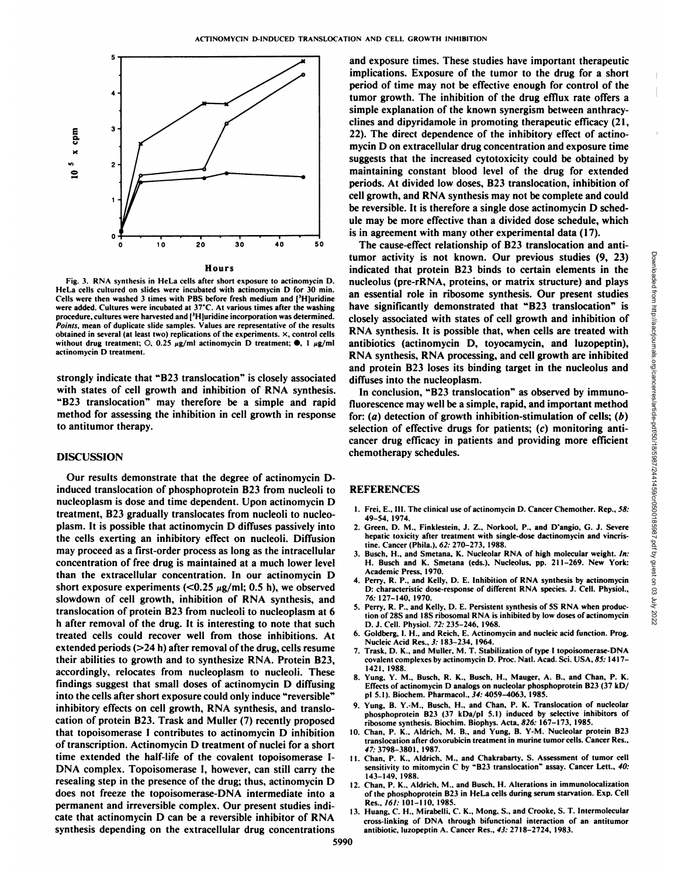

Fig. 3. RNA synthesis in HeLa cells after short exposure to actinomycin D. HeLa cells cultured on slides were incubated with actinomycin D for 30 min. Cells were then washed 3 times with PBS before fresh medium and  $[{}^3H]$ uridine were added. Cultures were incubated at 37°C. At various times after the washing procedure, cultures were harvested and [<sup>3</sup>H]uridine incorporation was determined. *Points, mean of duplicate slide samples. Values arc representative of the results* obtained in several (at least two) replications of the experiments, x. control cells without drug treatment; O, 0.25  $\mu$ g/ml actinomycin D treatment;  $\bullet$ , 1  $\mu$ g/ml actinomycin D treatment.

strongly indicate that "B23 translocation" is closely associated diffuses into the nucleoplasm. with states of cell growth and inhibition of RNA synthesis. "B23 translocation" may therefore be <sup>a</sup> simple and rapid method for assessing the inhibition in cell growth in response to antitumor therapy.

### DISCUSSION

Our results demonstrate that the degree of actinomycin Dinduced translocation of phosphoprotein B23 from nucleoli to nucleoplasm is dose and time dependent. Upon actinomycin D treatment, B23 gradually translocates from nucleoli to nucleo plasm. It is possible that actinomycin D diffuses passively into the cells exerting an inhibitory effect on nucleoli. Diffusion may proceed as a first-order process as long as the intracellular concentration of free drug is maintained at a much lower level than the extracellular concentration. In our actinomycin D short exposure experiments ( $< 0.25 \mu g/ml$ ; 0.5 h), we observed slowdown of cell growth, inhibition of RNA synthesis, and translocation of protein B23 from nucleoli to nucleoplasm at 6 h after removal of the drug. It is interesting to note that such treated cells could recover well from those inhibitions. At extended periods (>24 h) after removal of the drug, cells resume<br>extended periods (>24 h) after removal of the drug, cells resume<br> $\frac{7 \text{ Test D K and Muller M T Stab}}{7 \text{ Test D K}}$ their abilities to growth and to synthesize RNA. Protein B23, accordingly, relocates from nucleoplasm to nucleoli. These findings suggest that small doses of actinomycin D diffusing into the cells after short exposure could only induce "reversible" inhibitory effects on cell growth, RNA synthesis, and translo cation of protein B23. Trask and Muller (7) recently proposed that topoisomerase I contributes to actinomycin D inhibition of transcription. Actinomycin D treatment of nuclei for a short time extended the half-life of the covalent topoisomerase I-DNA complex. Topoisomerase I, however, can still carry the sensitivity to mitomycin C by "B23 translocation" assay. Cancer Lett., 40: resealing step in the presence of the drug; thus, actinomycin D does not freeze the topoisomerase-DNA intermediate into a permanent and irreversible complex. Our present studies indi cate that actinomycin D can be a reversible inhibitor of RNA synthesis depending on the extracellular drug concentrations

and exposure times. These studies have important therapeutic implications. Exposure of the tumor to the drug for a short period of time may not be effective enough for control of the tumor growth. The inhibition of the drug efflux rate offers a simple explanation of the known synergism between anthracyclines and dipyridamole in promoting therapeutic efficacy (21, 22). The direct dependence of the inhibitory effect of actino mycin D on extracellular drug concentration and exposure time suggests that the increased cytotoxicity could be obtained by maintaining constant blood level of the drug for extended periods. At divided low doses, B23 translocation, inhibition of cell growth, and RNA synthesis may not be complete and could be reversible. It is therefore a single dose actinomycin D sched ule may be more effective than a divided dose schedule, which is in agreement with many other experimental data (17).

The cause-effect relationship of B23 translocation and antitumor activity is not known. Our previous studies (9, 23)<br>
indicated that protein B23 binds to cretain elements in the<br>
incideolus (pre-FRNA, proteins, or matrix structure) and plays<br>
an essential role in ribosome synthes indicated that protein B23 binds to certain elements in the nucleolus (pre-rRNA, proteins, or matrix structure) and plays an essential role in ribosome synthesis. Our present studies have significantly demonstrated that "B23 translocation" is closely associated with states of cell growth and inhibition of RNA synthesis. It is possible that, when cells are treated with antibiotics (actinomycin D, toyocamycin, and luzopeptin), RNA synthesis, RNA processing, and cell growth are inhibited and protein B23 loses its binding target in the nucleolus and

In conclusion, "B23 translocation" as observed by immunofluorescence may well be a simple, rapid, and important method for:  $(a)$  detection of growth inhibition-stimulation of cells;  $(b)$ selection of effective drugs for patients; (c) monitoring anti cancer drug efficacy in patients and providing more efficient chemotherapy schedules.

# **REFERENCES**

- 1. Frei, E., III. The clinical use of actinomycin D. Cancer Chemother. Rep., 58: 49-54. 1974.
- 2. Green. D. M.. Finklestein. J. Z.. Norkool. P.. and D'angio. G. J. Severe hepatic toxicity after treatment with single-dose daetinomycin and vincristine. Cancer (Phila.). 62: 270-273. 1988.
- 3. Busch. H., and Smetana, K. Nucleolar RNA of high molecular weight. In: H. Busch and K. Smetana (eds.). Nucleolus, pp. 211-269. New York: Academic Press. 1970.
- 4. Perry, R. P., and Kelly, D. E. Inhibition of RNA synthesis by actinomycin D: characteristic dose-response of different RNA species. J. Cell. Physiol., *76: 127-140. 1970.*
- 5. Perry. R. P.. and Kelly. D. E. Persistent synthesis of 5S RNA when produc tion of 28S and 18S ribosomal RNA is inhibited by low doses of actinomycin D. J. Cell. Physiol. 72: 235-246. 1968.
- 6. Goldberg, I. H., and Reich, E. Actinomycin and nucleic acid function. Prog.
- 7. Trask, D. K., and Muller, M. T. Stabilization of type I topoisomerase-DNA covalent complexes by actinomycin D. Proc. Natl. Acad. Sci. USA, 85: 1417-1421. 1988.
- 8. Yung. Y. M.. Busch. R. K.. Busch. H.. Mauger. A. B.. and Chan. P. K. Effects of actinomycin D analogs on nucleolar phosphoprotein B23 (37 kD/ pi 5.1). Biochem. Pharmacol.. 34: 4059-4063. 1985.
- 9. Yung. B. Y.-M., Busch. H., and Chan. P. K. Translocation of nucleolar phosphoprotein B23 (37 kDa/pI 5.1) induced by selective inhibitors of ribosome synthesis. Biochim. Biophys. Acta. 826: 167-173. 1985.
- 10. Chan. P. K.. Aldrich. M. B., and Yung. B. Y-M. Nucleolar protein B23 translocation after doxorubicin treatment in murine tumor cells. Cancer Res.. Â¥7:3798-3801. 1987.
- 11. Chan, P. K., Aldrich, M., and Chakrabarty, S. Assessment of tumor cell 143-149. 1988.
- 12. Chan, P. K., Aldrich, M., and Busch, H. Alterations in immunolocalization of the phosphoprotein B23 in HeLa cells during serum starvation. Exp. Cell Res.. 161: 101-110. 1985.
- 13. Huang, C. H., Mirabelli, C. K., Mong, S., and Crooke, S. T. Intermolecular cross-linking of DNA through bifunctional interaction of an antitumor antibiotic, luzopeptin A. Cancer Res.. 43: 2718-2724. 1983.